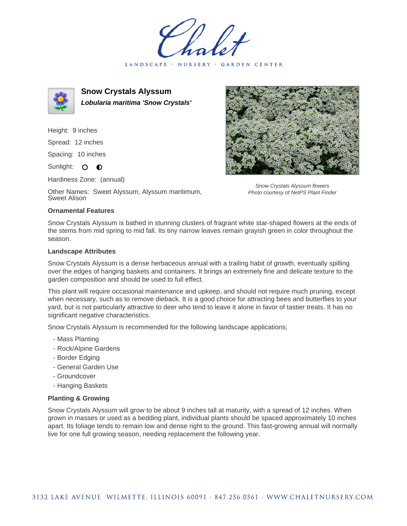LANDSCAPE · NURSERY · GARDEN CENTER



**Snow Crystals Alyssum Lobularia maritima 'Snow Crystals'**

Height: 9 inches

Spread: 12 inches

Spacing: 10 inches

Sunlight: O **O** 

Hardiness Zone: (annual)

Other Names: Sweet Alyssum, Alyssum maritimum, Sweet Alison

## **Ornamental Features**

Snow Crystals Alyssum is bathed in stunning clusters of fragrant white star-shaped flowers at the ends of the stems from mid spring to mid fall. Its tiny narrow leaves remain grayish green in color throughout the season.

## **Landscape Attributes**

Snow Crystals Alyssum is a dense herbaceous annual with a trailing habit of growth, eventually spilling over the edges of hanging baskets and containers. It brings an extremely fine and delicate texture to the garden composition and should be used to full effect.

This plant will require occasional maintenance and upkeep, and should not require much pruning, except when necessary, such as to remove dieback. It is a good choice for attracting bees and butterflies to your yard, but is not particularly attractive to deer who tend to leave it alone in favor of tastier treats. It has no significant negative characteristics.

Snow Crystals Alyssum is recommended for the following landscape applications;

- Mass Planting
- Rock/Alpine Gardens
- Border Edging
- General Garden Use
- Groundcover
- Hanging Baskets

## **Planting & Growing**

Snow Crystals Alyssum will grow to be about 9 inches tall at maturity, with a spread of 12 inches. When grown in masses or used as a bedding plant, individual plants should be spaced approximately 10 inches apart. Its foliage tends to remain low and dense right to the ground. This fast-growing annual will normally live for one full growing season, needing replacement the following year.



Snow Crystals Alyssum flowers Photo courtesy of NetPS Plant Finder